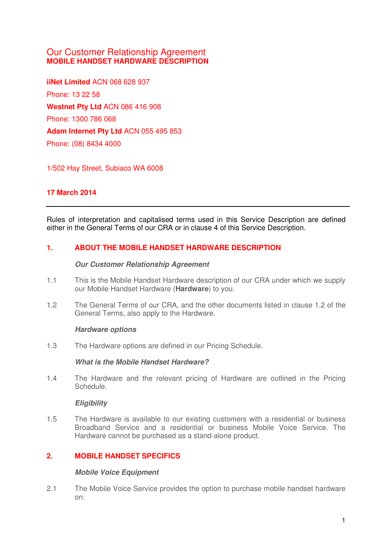# Our Customer Relationship Agreement **MOBILE HANDSET HARDWARE DESCRIPTION**

**iiNet Limited** ACN 068 628 937 Phone: 13 22 58 **Westnet Pty Ltd** ACN 086 416 908 Phone: 1300 786 068 **Adam Internet Pty Ltd** ACN 055 495 853 Phone: (08) 8434 4000

1/502 Hay Street, Subiaco WA 6008

## **17 March 2014**

Rules of interpretation and capitalised terms used in this Service Description are defined either in the General Terms of our CRA or in clause 4 of this Service Description.

## **1. ABOUT THE MOBILE HANDSET HARDWARE DESCRIPTION**

**Our Customer Relationship Agreement** 

- 1.1 This is the Mobile Handset Hardware description of our CRA under which we supply our Mobile Handset Hardware (**Hardware**) to you.
- 1.2 The General Terms of our CRA, and the other documents listed in clause 1.2 of the General Terms, also apply to the Hardware.

### **Hardware options**

1.3 The Hardware options are defined in our Pricing Schedule.

### **What is the Mobile Handset Hardware?**

1.4 The Hardware and the relevant pricing of Hardware are outlined in the Pricing Schedule.

### **Eligibility**

1.5 The Hardware is available to our existing customers with a residential or business Broadband Service and a residential or business Mobile Voice Service. The Hardware cannot be purchased as a stand-alone product.

## **2. MOBILE HANDSET SPECIFICS**

### **Mobile Voice Equipment**

2.1 The Mobile Voice Service provides the option to purchase mobile handset hardware on: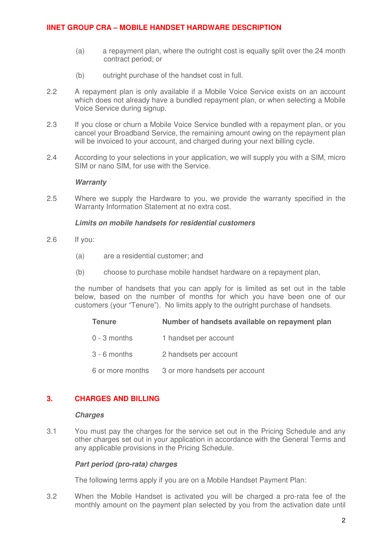## **IINET GROUP CRA – MOBILE HANDSET HARDWARE DESCRIPTION**

- (a) a repayment plan, where the outright cost is equally split over the 24 month contract period; or
- (b) outright purchase of the handset cost in full.
- 2.2 A repayment plan is only available if a Mobile Voice Service exists on an account which does not already have a bundled repayment plan, or when selecting a Mobile Voice Service during signup.
- 2.3 If you close or churn a Mobile Voice Service bundled with a repayment plan, or you cancel your Broadband Service, the remaining amount owing on the repayment plan will be invoiced to your account, and charged during your next billing cycle.
- 2.4 According to your selections in your application, we will supply you with a SIM, micro SIM or nano SIM, for use with the Service.

#### **Warranty**

2.5 Where we supply the Hardware to you, we provide the warranty specified in the Warranty Information Statement at no extra cost.

#### **Limits on mobile handsets for residential customers**

- 2.6 If you:
	- (a) are a residential customer; and
	- (b) choose to purchase mobile handset hardware on a repayment plan,

the number of handsets that you can apply for is limited as set out in the table below, based on the number of months for which you have been one of our customers (your "Tenure"). No limits apply to the outright purchase of handsets.

| <b>Tenure</b>    | Number of handsets available on repayment plan |
|------------------|------------------------------------------------|
| $0 - 3$ months   | 1 handset per account                          |
| $3 - 6$ months   | 2 handsets per account                         |
| 6 or more months | 3 or more handsets per account                 |

## **3. CHARGES AND BILLING**

#### **Charges**

3.1 You must pay the charges for the service set out in the Pricing Schedule and any other charges set out in your application in accordance with the General Terms and any applicable provisions in the Pricing Schedule.

### **Part period (pro-rata) charges**

The following terms apply if you are on a Mobile Handset Payment Plan:

3.2 When the Mobile Handset is activated you will be charged a pro-rata fee of the monthly amount on the payment plan selected by you from the activation date until